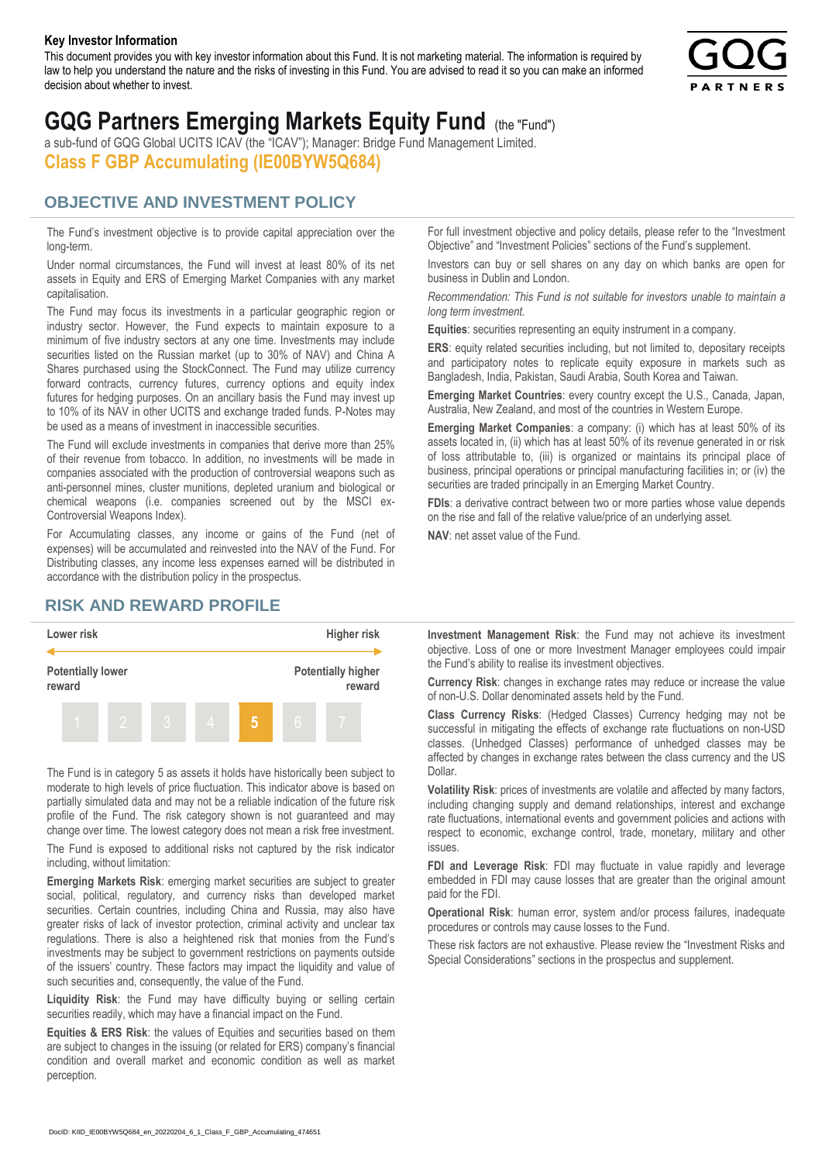#### **Key Investor Information**

This document provides you with key investor information about this Fund. It is not marketing material. The information is required by law to help you understand the nature and the risks of investing in this Fund. You are advised to read it so you can make an informed decision about whether to invest.



# **GQG Partners Emerging Markets Equity Fund** (the "Fund")

a sub-fund of GQG Global UCITS ICAV (the "ICAV"); Manager: Bridge Fund Management Limited. **Class F GBP Accumulating (IE00BYW5Q684)**

#### **OBJECTIVE AND INVESTMENT POLICY**

The Fund's investment objective is to provide capital appreciation over the long-term.

Under normal circumstances, the Fund will invest at least 80% of its net assets in Equity and ERS of Emerging Market Companies with any market capitalisation.

The Fund may focus its investments in a particular geographic region or industry sector. However, the Fund expects to maintain exposure to a minimum of five industry sectors at any one time. Investments may include securities listed on the Russian market (up to 30% of NAV) and China A Shares purchased using the StockConnect. The Fund may utilize currency forward contracts, currency futures, currency options and equity index futures for hedging purposes. On an ancillary basis the Fund may invest up to 10% of its NAV in other UCITS and exchange traded funds. P-Notes may be used as a means of investment in inaccessible securities.

The Fund will exclude investments in companies that derive more than 25% of their revenue from tobacco. In addition, no investments will be made in companies associated with the production of controversial weapons such as anti-personnel mines, cluster munitions, depleted uranium and biological or chemical weapons (i.e. companies screened out by the MSCI ex-Controversial Weapons Index).

For Accumulating classes, any income or gains of the Fund (net of expenses) will be accumulated and reinvested into the NAV of the Fund. For Distributing classes, any income less expenses earned will be distributed in accordance with the distribution policy in the prospectus.

### **RISK AND REWARD PROFILE**



The Fund is in category 5 as assets it holds have historically been subject to moderate to high levels of price fluctuation. This indicator above is based on partially simulated data and may not be a reliable indication of the future risk profile of the Fund. The risk category shown is not guaranteed and may change over time. The lowest category does not mean a risk free investment.

The Fund is exposed to additional risks not captured by the risk indicator including, without limitation:

**Emerging Markets Risk**: emerging market securities are subject to greater social, political, regulatory, and currency risks than developed market securities. Certain countries, including China and Russia, may also have greater risks of lack of investor protection, criminal activity and unclear tax regulations. There is also a heightened risk that monies from the Fund's investments may be subject to government restrictions on payments outside of the issuers' country. These factors may impact the liquidity and value of such securities and, consequently, the value of the Fund.

**Liquidity Risk**: the Fund may have difficulty buying or selling certain securities readily, which may have a financial impact on the Fund.

**Equities & ERS Risk**: the values of Equities and securities based on them are subject to changes in the issuing (or related for ERS) company's financial condition and overall market and economic condition as well as market perception.

For full investment objective and policy details, please refer to the "Investment Objective" and "Investment Policies" sections of the Fund's supplement.

Investors can buy or sell shares on any day on which banks are open for business in Dublin and London.

*Recommendation: This Fund is not suitable for investors unable to maintain a long term investment.*

**Equities**: securities representing an equity instrument in a company.

**ERS:** equity related securities including, but not limited to, depositary receipts and participatory notes to replicate equity exposure in markets such as Bangladesh, India, Pakistan, Saudi Arabia, South Korea and Taiwan.

**Emerging Market Countries**: every country except the U.S., Canada, Japan, Australia, New Zealand, and most of the countries in Western Europe.

**Emerging Market Companies**: a company: (i) which has at least 50% of its assets located in, (ii) which has at least 50% of its revenue generated in or risk of loss attributable to, (iii) is organized or maintains its principal place of business, principal operations or principal manufacturing facilities in; or (iv) the securities are traded principally in an Emerging Market Country.

**FDIs**: a derivative contract between two or more parties whose value depends on the rise and fall of the relative value/price of an underlying asset.

**NAV**: net asset value of the Fund.

**Investment Management Risk**: the Fund may not achieve its investment objective. Loss of one or more Investment Manager employees could impair the Fund's ability to realise its investment objectives.

**Currency Risk**: changes in exchange rates may reduce or increase the value of non-U.S. Dollar denominated assets held by the Fund.

**Class Currency Risks**: (Hedged Classes) Currency hedging may not be successful in mitigating the effects of exchange rate fluctuations on non-USD classes. (Unhedged Classes) performance of unhedged classes may be affected by changes in exchange rates between the class currency and the US Dollar.

**Volatility Risk**: prices of investments are volatile and affected by many factors, including changing supply and demand relationships, interest and exchange rate fluctuations, international events and government policies and actions with respect to economic, exchange control, trade, monetary, military and other issues.

**FDI and Leverage Risk**: FDI may fluctuate in value rapidly and leverage embedded in FDI may cause losses that are greater than the original amount paid for the FDI.

**Operational Risk**: human error, system and/or process failures, inadequate procedures or controls may cause losses to the Fund.

These risk factors are not exhaustive. Please review the "Investment Risks and Special Considerations" sections in the prospectus and supplement.